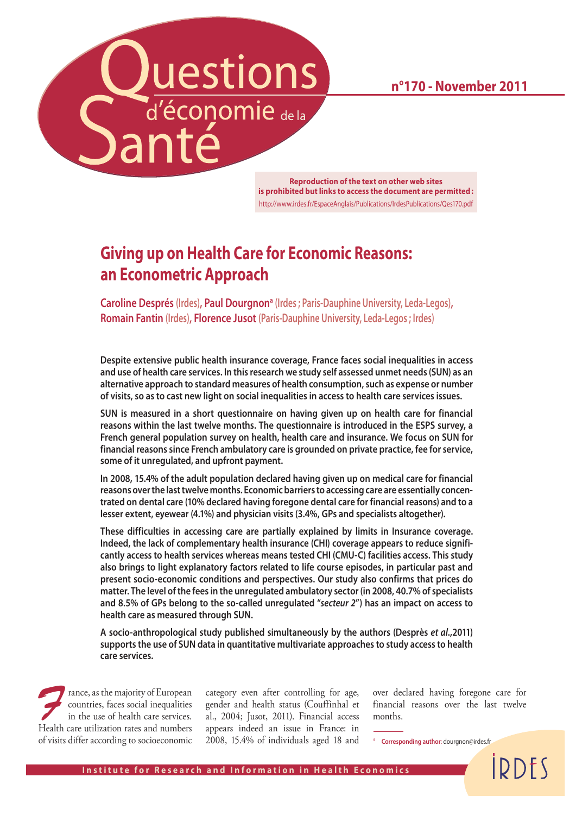**n°170 - November 2011**



**Reproduction of the text on other web sites is prohibited but links to access the document are permitted :** http://www.irdes.fr/EspaceAnglais/Publications/IrdesPublications/Qes170.pdf

# **Giving up on Health Care for Economic Reasons: an Econometric Approach**

**Caroline Després** (Irdes), Paul Dourgnon<sup>a</sup> (Irdes ; Paris-Dauphine University, Leda-Legos), **Romain Fantin (Irdes), Florence Jusot (Paris-Dauphine University, Leda-Legos ; Irdes)**

**Despite extensive public health insurance coverage, France faces social inequalities in access and use of health care services. In this research we study self assessed unmet needs (SUN) as an alternative approach to standard measures of health consumption, such as expense or number of visits, so as to cast new light on social inequalities in access to health care services issues.**

**SUN is measured in a short questionnaire on having given up on health care for financial reasons within the last twelve months. The questionnaire is introduced in the ESPS survey, a French general population survey on health, health care and insurance. We focus on SUN for financial reasons since French ambulatory care is grounded on private practice, fee for service, some of it unregulated, and upfront payment.**

**In 2008, 15.4% of the adult population declared having given up on medical care for financial reasons over the last twelve months. Economic barriers to accessing care are essentially concentrated on dental care (10% declared having foregone dental care for financial reasons) and to a lesser extent, eyewear (4.1%) and physician visits (3.4%, GPs and specialists altogether).**

**These difficulties in accessing care are partially explained by limits in Insurance coverage. Indeed, the lack of complementary health insurance (CHI) coverage appears to reduce significantly access to health services whereas means tested CHI (CMU-C) facilities access. This study also brings to light explanatory factors related to life course episodes, in particular past and present socio-economic conditions and perspectives. Our study also confirms that prices do matter. The level of the fees in the unregulated ambulatory sector (in 2008, 40.7% of specialists and 8.5% of GPs belong to the so-called unregulated "***secteur 2***") has an impact on access to health care as measured through SUN.**

**A socio-anthropological study published simultaneously by the authors (Desprès** *et al***.,2011) supports the use of SUN data in quantitative multivariate approaches to study access to health care services.**

rance, as the majority of European countries, faces social inequalities in the use of health care services. Health care utilization rates and numbers of visits differ according to socioeconomic

category even after controlling for age, gender and health status (Couffinhal et al., 2004; Jusot, 2011). Financial access appears indeed an issue in France: in 2008, 15.4% of individuals aged 18 and over declared having foregone care for financial reasons over the last twelve months.

**IDDFS** 

<sup>a</sup> **Corresponding author**: dourgnon@irdes.fr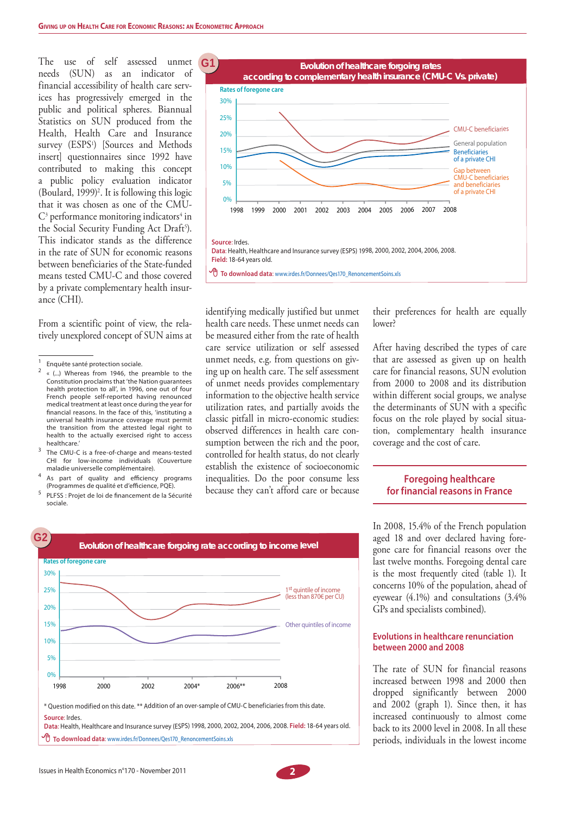The use of self assessed unmet needs (SUN) as an indicator of financial accessibility of health care services has progressively emerged in the public and political spheres. Biannual Statistics on SUN produced from the Health, Health Care and Insurance survey (ESPS<sup>1</sup>) [Sources and Methods insert] questionnaires since 1992 have contributed to making this concept a public policy evaluation indicator  $(Boulard, 1999)<sup>2</sup>$ . It is following this logic that it was chosen as one of the CMU- $\mathrm{C}^3$  performance monitoring indicators<sup>4</sup> in the Social Security Funding Act Draft<sup>5</sup>). This indicator stands as the difference in the rate of SUN for economic reasons between beneficiaries of the State-funded means tested CMU-C and those covered by a private complementary health insurance (CHI).

From a scientific point of view, the relatively unexplored concept of SUN aims at

- 3 The CMU-C is a free-of-charge and means-tested CHI for low-income individuals (Couverture maladie universelle complémentaire).
- 4 As part of quality and efficiency programs (Programmes de qualité et d'efficience, PQE).
- 5 PLFSS : Projet de loi de financement de la Sécurité sociale.

**Rates of foregone care**

30%

**G2 G1**



identifying medically justified but unmet health care needs. These unmet needs can be measured either from the rate of health care service utilization or self assessed unmet needs, e.g. from questions on giving up on health care. The self assessment of unmet needs provides complementary information to the objective health service utilization rates, and partially avoids the classic pitfall in micro-economic studies: observed differences in health care consumption between the rich and the poor, controlled for health status, do not clearly establish the existence of socioeconomic inequalities. Do the poor consume less because they can't afford care or because

their preferences for health are equally lower?

After having described the types of care that are assessed as given up on health care for financial reasons, SUN evolution from 2000 to 2008 and its distribution within different social groups, we analyse the determinants of SUN with a specific focus on the role played by social situation, complementary health insurance coverage and the cost of care.

## **Foregoing healthcare for financial reasons in France**

In 2008, 15.4% of the French population aged 18 and over declared having foregone care for financial reasons over the last twelve months. Foregoing dental care is the most frequently cited (table 1). It concerns 10% of the population, ahead of eyewear (4.1%) and consultations (3.4% GPs and specialists combined).

#### **Evolutions in healthcare renunciation between 2000 and 2008**

The rate of SUN for financial reasons increased between 1998 and 2000 then dropped significantly between 2000 and 2002 (graph 1). Since then, it has increased continuously to almost come back to its 2000 level in 2008. In all these periods, individuals in the lowest income

## 1<sup>st</sup> quintile of income (less than 870€ per CU) Other quintiles of income 1998 2000 2002 2004\* 2006\*\* 2008 0% 5% 10% 15% 20% 25% \* Question modified on this date. \*\* Addition of an over-sample of CMU-C beneficiaries from this date. **Source**: Irdes. **Data**: Health, Healthcare and Insurance survey (ESPS) 1998, 2000, 2002, 2004, 2006, 2008. **Field:** 18-64 years old.  **To download data**: www.irdes.fr/Donnees/Qes170\_RenoncementSoins.xls

**Evolution of healthcare forgoing rate according to income level** 



<sup>1</sup> Enquête santé protection sociale.

 $\overline{2}$  « (...) Whereas from 1946, the preamble to the Constitution proclaims that 'the Nation guarantees health protection to all', in 1996, one out of four French people self-reported having renounced medical treatment at least once during the year for financial reasons. In the face of this, 'instituting a universal health insurance coverage must permit the transition from the attested legal right to health to the actually exercised right to access healthcare.'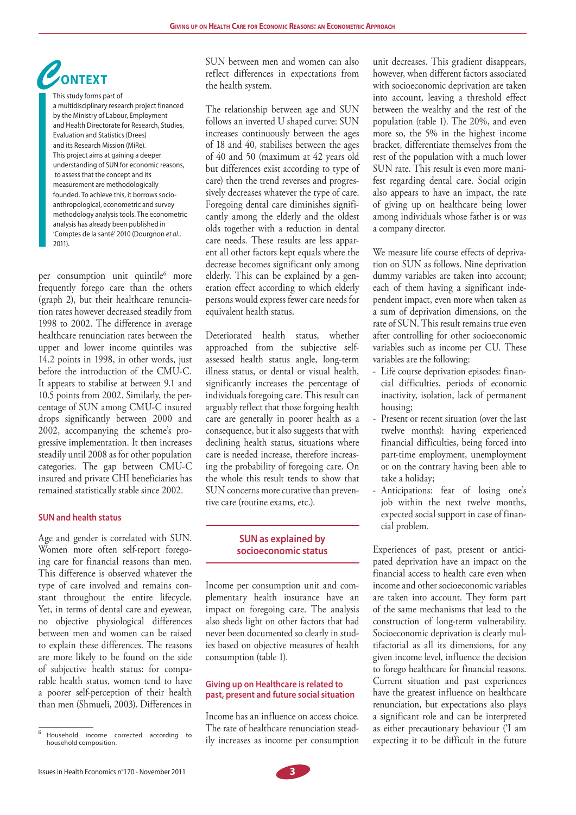

This study forms part of a multidisciplinary research project financed by the Ministry of Labour, Employment and Health Directorate for Research, Studies, Evaluation and Statistics (Drees) and its Research Mission (MiRe). This project aims at gaining a deeper understanding of SUN for economic reasons, to assess that the concept and its measurement are methodologically founded. To achieve this, it borrows socioanthropological, econometric and survey methodology analysis tools. The econometric analysis has already been published in 'Comptes de la santé' 2010 (Dourgnon *et al*., 2011).

per consumption unit quintile<sup>6</sup> more frequently forego care than the others (graph 2), but their healthcare renunciation rates however decreased steadily from 1998 to 2002. The difference in average healthcare renunciation rates between the upper and lower income quintiles was 14.2 points in 1998, in other words, just before the introduction of the CMU-C. It appears to stabilise at between 9.1 and 10.5 points from 2002. Similarly, the percentage of SUN among CMU-C insured drops significantly between 2000 and 2002, accompanying the scheme's progressive implementation. It then increases steadily until 2008 as for other population categories. The gap between CMU-C insured and private CHI beneficiaries has remained statistically stable since 2002.

### **SUN and health status**

Age and gender is correlated with SUN. Women more often self-report foregoing care for financial reasons than men. This difference is observed whatever the type of care involved and remains constant throughout the entire lifecycle. Yet, in terms of dental care and eyewear, no objective physiological differences between men and women can be raised to explain these differences. The reasons are more likely to be found on the side of subjective health status: for comparable health status, women tend to have a poorer self-perception of their health than men (Shmueli, 2003). Differences in

SUN between men and women can also reflect differences in expectations from the health system.

The relationship between age and SUN follows an inverted U shaped curve: SUN increases continuously between the ages of 18 and 40, stabilises between the ages of 40 and 50 (maximum at 42 years old but differences exist according to type of care) then the trend reverses and progressively decreases whatever the type of care. Foregoing dental care diminishes significantly among the elderly and the oldest olds together with a reduction in dental care needs. These results are less apparent all other factors kept equals where the decrease becomes significant only among elderly. This can be explained by a generation effect according to which elderly persons would express fewer care needs for equivalent health status.

Deteriorated health status, whether approached from the subjective selfassessed health status angle, long-term illness status, or dental or visual health, significantly increases the percentage of individuals foregoing care. This result can arguably reflect that those forgoing health care are generally in poorer health as a consequence, but it also suggests that with declining health status, situations where care is needed increase, therefore increasing the probability of foregoing care. On the whole this result tends to show that SUN concerns more curative than preventive care (routine exams, etc.).

## **SUN as explained by socioeconomic status**

Income per consumption unit and complementary health insurance have an impact on foregoing care. The analysis also sheds light on other factors that had never been documented so clearly in studies based on objective measures of health consumption (table 1).

#### **Giving up on Healthcare is related to past, present and future social situation**

Income has an influence on access choice. The rate of healthcare renunciation steadily increases as income per consumption unit decreases. This gradient disappears, however, when different factors associated with socioeconomic deprivation are taken into account, leaving a threshold effect between the wealthy and the rest of the population (table 1). The 20%, and even more so, the 5% in the highest income bracket, differentiate themselves from the rest of the population with a much lower SUN rate. This result is even more manifest regarding dental care. Social origin also appears to have an impact, the rate of giving up on healthcare being lower among individuals whose father is or was a company director.

We measure life course effects of deprivation on SUN as follows. Nine deprivation dummy variables are taken into account; each of them having a significant independent impact, even more when taken as a sum of deprivation dimensions, on the rate of SUN. This result remains true even after controlling for other socioeconomic variables such as income per CU. These variables are the following:

- ‐ Life course deprivation episodes: financial difficulties, periods of economic inactivity, isolation, lack of permanent housing;
- ‐ Present or recent situation (over the last twelve months): having experienced financial difficulties, being forced into part-time employment, unemployment or on the contrary having been able to take a holiday;
- ‐ Anticipations: fear of losing one's job within the next twelve months, expected social support in case of financial problem.

Experiences of past, present or anticipated deprivation have an impact on the financial access to health care even when income and other socioeconomic variables are taken into account. They form part of the same mechanisms that lead to the construction of long-term vulnerability. Socioeconomic deprivation is clearly multifactorial as all its dimensions, for any given income level, influence the decision to forego healthcare for financial reasons. Current situation and past experiences have the greatest influence on healthcare renunciation, but expectations also plays a significant role and can be interpreted as either precautionary behaviour ('I am expecting it to be difficult in the future

<sup>6</sup> Household income corrected according to household composition.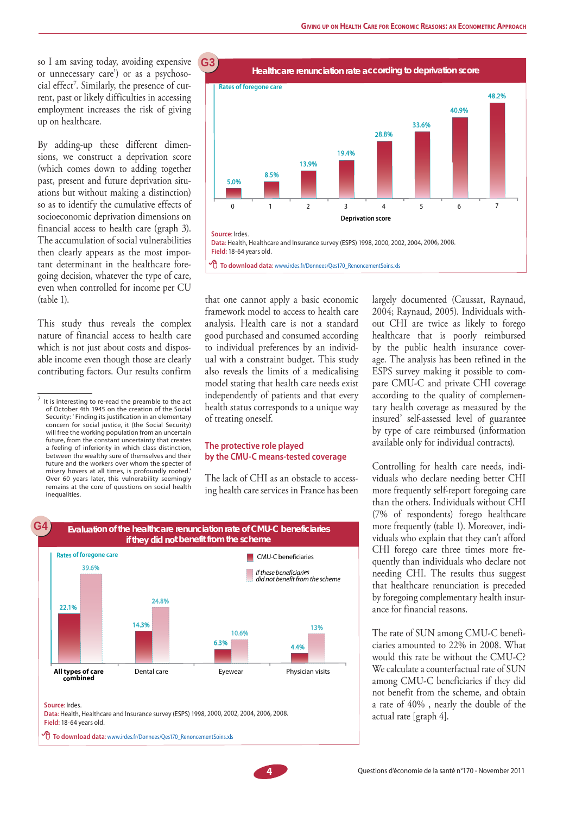so I am saving today, avoiding expensive or unnecessary care') or as a psychosocial effect<sup>7</sup>. Similarly, the presence of current, past or likely difficulties in accessing employment increases the risk of giving up on healthcare.

By adding-up these different dimensions, we construct a deprivation score (which comes down to adding together past, present and future deprivation situations but without making a distinction) so as to identify the cumulative effects of socioeconomic deprivation dimensions on financial access to health care (graph 3). The accumulation of social vulnerabilities then clearly appears as the most important determinant in the healthcare foregoing decision, whatever the type of care, even when controlled for income per CU (table 1).

This study thus reveals the complex nature of financial access to health care which is not just about costs and disposable income even though those are clearly contributing factors. Our results confirm



that one cannot apply a basic economic framework model to access to health care analysis. Health care is not a standard good purchased and consumed according to individual preferences by an individual with a constraint budget. This study also reveals the limits of a medicalising model stating that health care needs exist independently of patients and that every health status corresponds to a unique way of treating oneself.

#### **The protective role played by the CMU-C means-tested coverage**

The lack of CHI as an obstacle to accessing health care services in France has been



**Data**: Health, Healthcare and Insurance survey (ESPS) 1998, 2000, 2002, 2004, 2006, 2008. **Field:** 18-64 years old.

 **To download data**: www.irdes.fr/Donnees/Qes170\_RenoncementSoins.xls

largely documented (Caussat, Raynaud, 2004; Raynaud, 2005). Individuals without CHI are twice as likely to forego healthcare that is poorly reimbursed by the public health insurance coverage. The analysis has been refined in the ESPS survey making it possible to compare CMU-C and private CHI coverage according to the quality of complementary health coverage as measured by the insured' self-assessed level of guarantee by type of care reimbursed (information available only for individual contracts).

Controlling for health care needs, individuals who declare needing better CHI more frequently self-report foregoing care than the others. Individuals without CHI (7% of respondents) forego healthcare more frequently (table 1). Moreover, individuals who explain that they can't afford CHI forego care three times more frequently than individuals who declare not needing CHI. The results thus suggest that healthcare renunciation is preceded by foregoing complementary health insurance for financial reasons.

The rate of SUN among CMU-C beneficiaries amounted to 22% in 2008. What would this rate be without the CMU-C? We calculate a counterfactual rate of SUN among CMU-C beneficiaries if they did not benefit from the scheme, and obtain a rate of 40% , nearly the double of the actual rate [graph 4].

 $^7$  It is interesting to re-read the preamble to the act of October 4th 1945 on the creation of the Social Security: ' Finding its justification in an elementary concern for social justice, it (the Social Security) will free the working population from an uncertain future, from the constant uncertainty that creates a feeling of inferiority in which class distinction, between the wealthy sure of themselves and their future and the workers over whom the specter of misery hovers at all times, is profoundly rooted.' Over 60 years later, this vulnerability seemingly remains at the core of questions on social health inequalities.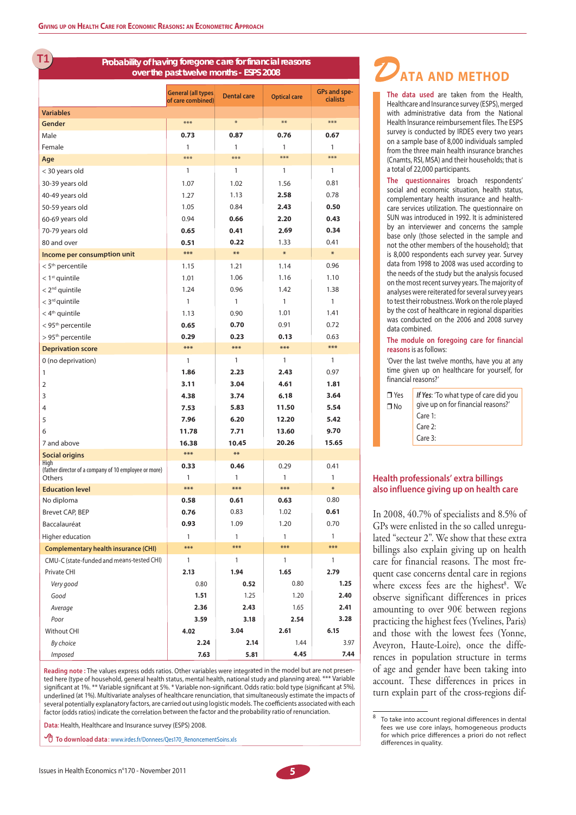**G1T**

#### **Probability of having foregone care for financial reasons over the past twelve months - ESPS 2008**

|                                                                 | <b>General (all types</b><br>of care combined) | <b>Dental care</b> | <b>Optical care</b> | <b>GPs and spe-</b><br><b>cialists</b> |
|-----------------------------------------------------------------|------------------------------------------------|--------------------|---------------------|----------------------------------------|
| <b>Variables</b>                                                |                                                |                    |                     |                                        |
| Gender                                                          | ***                                            | $\ast$             | $***$               | ***                                    |
| Male                                                            | 0.73                                           | 0.87               | 0.76                | 0.67                                   |
| Female                                                          | 1                                              | 1                  | 1                   | 1                                      |
| Age                                                             | $***$                                          | $***$              | ***                 | ***                                    |
| < 30 years old                                                  | 1                                              | 1                  | 1                   | 1                                      |
| 30-39 years old                                                 | 1.07                                           | 1.02               | 1.56                | 0.81                                   |
| 40-49 years old                                                 | 1.27                                           | 1.13               | 2.58                | 0.78                                   |
| 50-59 years old                                                 | 1.05                                           | 0.84               | 2.43                | 0.50                                   |
| 60-69 years old                                                 | 0.94                                           | 0.66               | 2.20                | 0.43                                   |
| 70-79 years old                                                 | 0.65                                           | 0.41               | 2.69                | 0.34                                   |
| 80 and over                                                     | 0.51                                           | 0.22               | 1.33                | 0.41                                   |
| Income per consumption unit                                     | ***                                            | $**$               | $\ast$              | $\ast$                                 |
| < 5 <sup>th</sup> percentile                                    | 1.15                                           | 1.21               | 1.14                | 0.96                                   |
| $< 1$ <sup>st</sup> quintile                                    | 1.01                                           | 1.06               | 1.16                | 1.10                                   |
| $< 2nd$ quintile                                                | 1.24                                           | 0.96               | 1.42                | 1.38                                   |
| $<$ 3 <sup>rd</sup> quintile                                    | 1                                              | 1                  | 1                   | 1                                      |
| $<$ 4 <sup>th</sup> quintile                                    | 1.13                                           | 0.90               | 1.01                | 1.41                                   |
| < 95 <sup>th</sup> percentile                                   | 0.65                                           | 0.70               | 0.91                | 0.72                                   |
| > 95 <sup>th</sup> percentile                                   | 0.29                                           | 0.23               | 0.13                | 0.63                                   |
| <b>Deprivation score</b>                                        | ***                                            | ***                | ***                 | ***                                    |
| 0 (no deprivation)                                              | 1                                              | 1                  | 1                   | 1                                      |
| 1                                                               | 1.86                                           | 2.23               | 2.43                | 0.97                                   |
| 2                                                               | 3.11                                           | 3.04               | 4.61                | 1.81                                   |
| 3                                                               | 4.38                                           | 3.74               | 6.18                | 3.64                                   |
| 4                                                               | 7.53                                           | 5.83               | 11.50               | 5.54                                   |
| 5                                                               | 7.96                                           | 6.20               | 12.20               | 5.42                                   |
| 6                                                               | 11.78                                          | 7.71               | 13.60               | 9.70                                   |
| 7 and above                                                     | 16.38                                          | 10.45              | 20.26               | 15.65                                  |
| <b>Social origins</b>                                           | ***                                            | **                 |                     |                                        |
| High                                                            | 0.33                                           | 0.46               | 0.29                | 0.41                                   |
| (father director of a company of 10 employee or more)<br>Others | 1                                              | 1                  | 1                   | 1                                      |
| <b>Education level</b>                                          | ***                                            | ***                | ***                 | ₩                                      |
| No diploma                                                      | 0.58                                           | 0.61               | 0.63                | 0.80                                   |
| <b>Brevet CAP, BEP</b>                                          | 0.76                                           | 0.83               | 1.02                | 0.61                                   |
| Baccalauréat                                                    | 0.93                                           | 1.09               | 1.20                | 0.70                                   |
| Higher education                                                | 1                                              | $\mathbf{1}$       | $\mathbf{1}$        | 1                                      |
| <b>Complementary health insurance (CHI)</b>                     | ***                                            | ***                | ***                 | ***                                    |
| CMU-C (state-funded and means-tested CHI)                       | 1                                              | 1                  | $\mathbf{1}$        | 1                                      |
| Private CHI                                                     | 2.13                                           | 1.94               | 1.65                | 2.79                                   |
| Very good                                                       | 0.80                                           | 0.52               | 0.80                | 1.25                                   |
| Good                                                            | 1.51                                           | 1.25               | 1.20                | 2.40                                   |
| Average                                                         | 2.36                                           | 2.43               | 1.65                | 2.41                                   |
| Poor                                                            | 3.59                                           | 3.18               | 2.54                | 3.28                                   |
| Without CHI                                                     | 4.02                                           | 3.04               | 2.61                | 6.15                                   |
| By choice                                                       | 2.24                                           | 2.14               | 1.44                | 3.97                                   |
| Imposed                                                         | 7.63                                           | 5.81               | 4.45                | 7.44                                   |

**Reading note :** The values express odds ratios. Other variables were integrated in the model but are not presented here (type of household, general health status, mental health, national study and planning area). \*\*\* Variable significant at 1%. \*\* Variable significant at 5%. \* Variable non-significant. Odds ratio: bold type (significant at 5%), underlined (at 1%). Multivariate analyses of healthcare renunciation, that simultaneously estimate the impacts of several potentially explanatory factors, are carried out using logistic models. The coefficients associated with each factor (odds ratios) indicate the correlation between the factor and the probability ratio of renunciation.

**Data**: Health, Healthcare and Insurance survey (ESPS) 2008.

 **To download data** : www.irdes.fr/Donnees/Qes170\_RenoncementSoins.xls

Issues in Health Economics n°170 - November 2011 **5**



**The data used** are taken from the Health, Healthcare and Insurance survey (ESPS), merged with administrative data from the National Health Insurance reimbursement files. The ESPS survey is conducted by IRDES every two years on a sample base of 8,000 individuals sampled from the three main health insurance branches (Cnamts, RSI, MSA) and their households; that is a total of 22,000 participants.

**The questionnaires** broach respondents' social and economic situation, health status, complementary health insurance and healthcare services utilization. The questionnaire on SUN was introduced in 1992. It is administered by an interviewer and concerns the sample base only (those selected in the sample and not the other members of the household); that is 8,000 respondents each survey year. Survey data from 1998 to 2008 was used according to the needs of the study but the analysis focused on the most recent survey years. The majority of analyses were reiterated for several survey years to test their robustness. Work on the role played by the cost of healthcare in regional disparities was conducted on the 2006 and 2008 survey data combined.

#### **The module on foregoing care for financial reasons** is as follows:

'Over the last twelve months, have you at any time given up on healthcare for yourself, for financial reasons?'

| $\blacksquare$ Yes<br>∩No | If Yes: 'To what type of care did you<br>give up on for financial reasons?'<br>$C$ are 1:<br>Care 2: |
|---------------------------|------------------------------------------------------------------------------------------------------|
|                           | $C$ are 3:                                                                                           |

#### **Health professionals' extra billings also influence giving up on health care**

In 2008, 40.7% of specialists and 8.5% of GPs were enlisted in the so called unregulated "secteur 2". We show that these extra billings also explain giving up on health care for financial reasons. The most frequent case concerns dental care in regions where excess fees are the highest<sup>8</sup>. We observe significant differences in prices amounting to over 90€ between regions practicing the highest fees (Yvelines, Paris) and those with the lowest fees (Yonne, Aveyron, Haute-Loire), once the differences in population structure in terms of age and gender have been taking into account. These differences in prices in turn explain part of the cross-regions dif-

<sup>8</sup> To take into account regional differences in dental fees we use core inlays, homogeneous products for which price differences a priori do not reflect differences in quality.